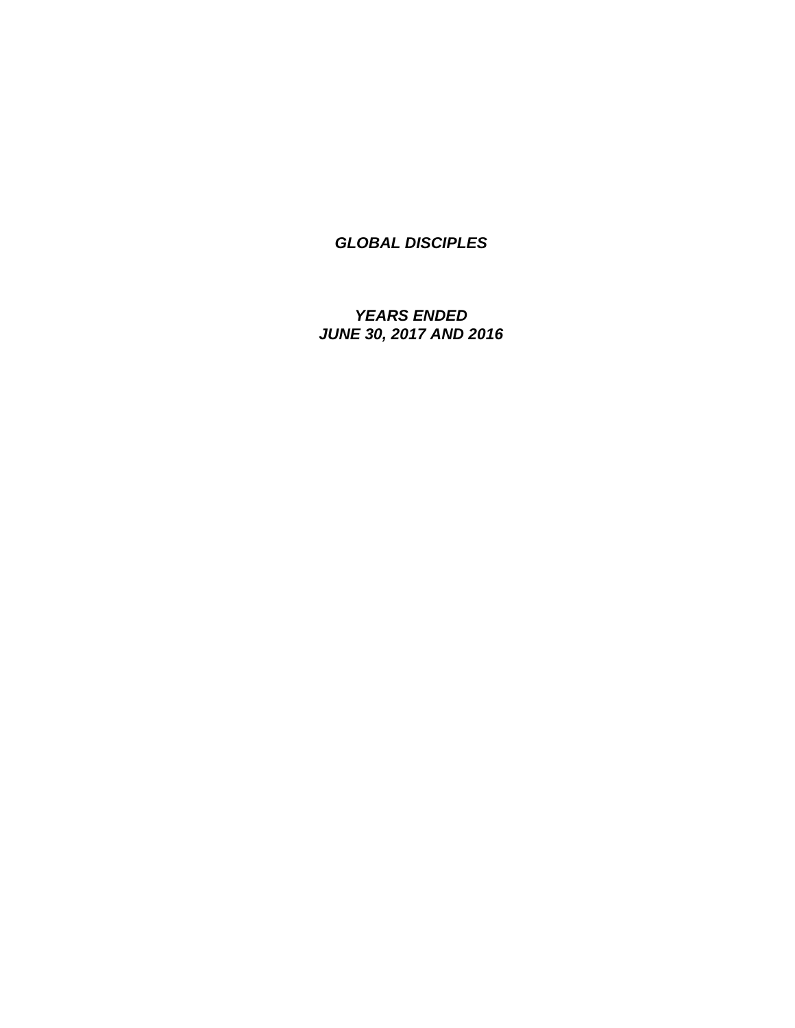*YEARS ENDED JUNE 30, 2017 AND 2016*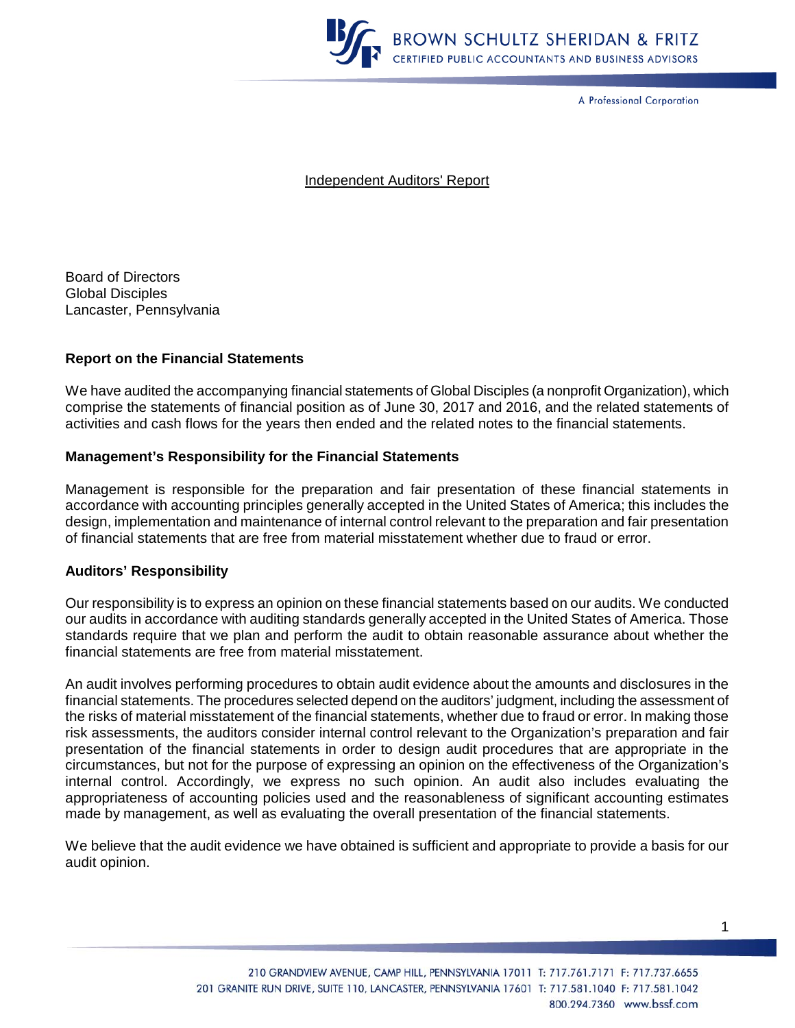

A Professional Corporation

Independent Auditors' Report

Board of Directors Global Disciples Lancaster, Pennsylvania

### **Report on the Financial Statements**

We have audited the accompanying financial statements of Global Disciples (a nonprofit Organization), which comprise the statements of financial position as of June 30, 2017 and 2016, and the related statements of activities and cash flows for the years then ended and the related notes to the financial statements.

#### **Management's Responsibility for the Financial Statements**

Management is responsible for the preparation and fair presentation of these financial statements in accordance with accounting principles generally accepted in the United States of America; this includes the design, implementation and maintenance of internal control relevant to the preparation and fair presentation of financial statements that are free from material misstatement whether due to fraud or error.

#### **Auditors' Responsibility**

Our responsibility is to express an opinion on these financial statements based on our audits. We conducted our audits in accordance with auditing standards generally accepted in the United States of America. Those standards require that we plan and perform the audit to obtain reasonable assurance about whether the financial statements are free from material misstatement.

An audit involves performing procedures to obtain audit evidence about the amounts and disclosures in the financial statements. The procedures selected depend on the auditors' judgment, including the assessment of the risks of material misstatement of the financial statements, whether due to fraud or error. In making those risk assessments, the auditors consider internal control relevant to the Organization's preparation and fair presentation of the financial statements in order to design audit procedures that are appropriate in the circumstances, but not for the purpose of expressing an opinion on the effectiveness of the Organization's internal control. Accordingly, we express no such opinion. An audit also includes evaluating the appropriateness of accounting policies used and the reasonableness of significant accounting estimates made by management, as well as evaluating the overall presentation of the financial statements.

We believe that the audit evidence we have obtained is sufficient and appropriate to provide a basis for our audit opinion.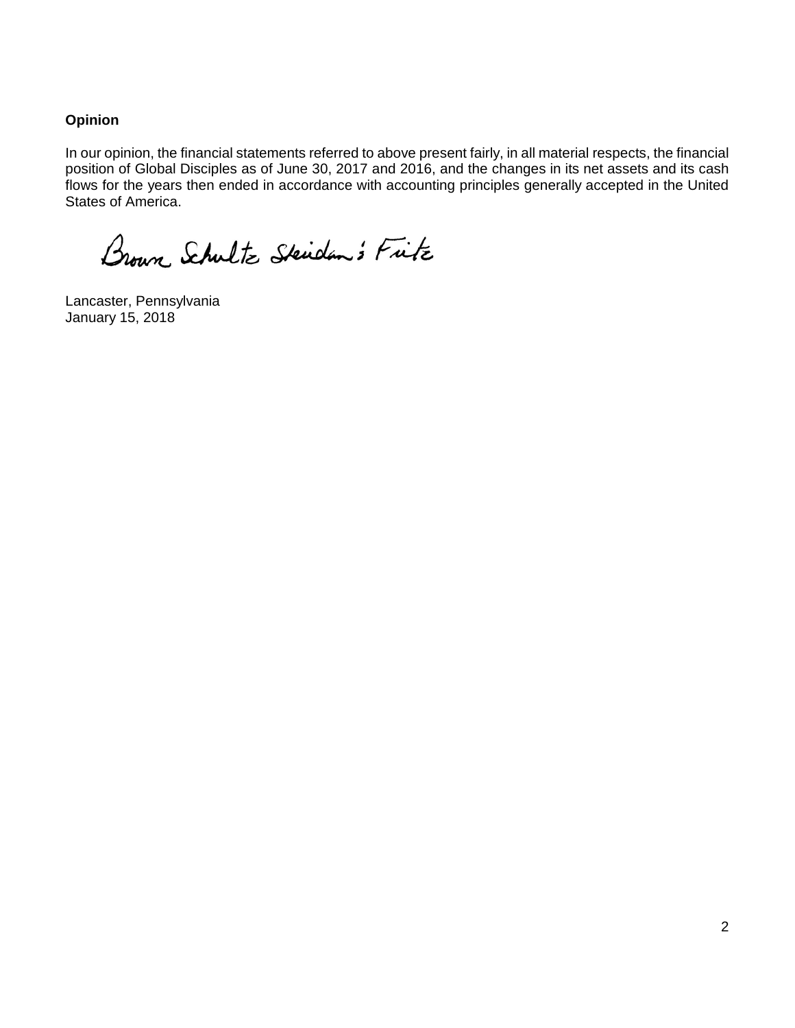## **Opinion**

In our opinion, the financial statements referred to above present fairly, in all material respects, the financial position of Global Disciples as of June 30, 2017 and 2016, and the changes in its net assets and its cash flows for the years then ended in accordance with accounting principles generally accepted in the United States of America.

Brown Schultz Skiden's Fitz

Lancaster, Pennsylvania January 15, 2018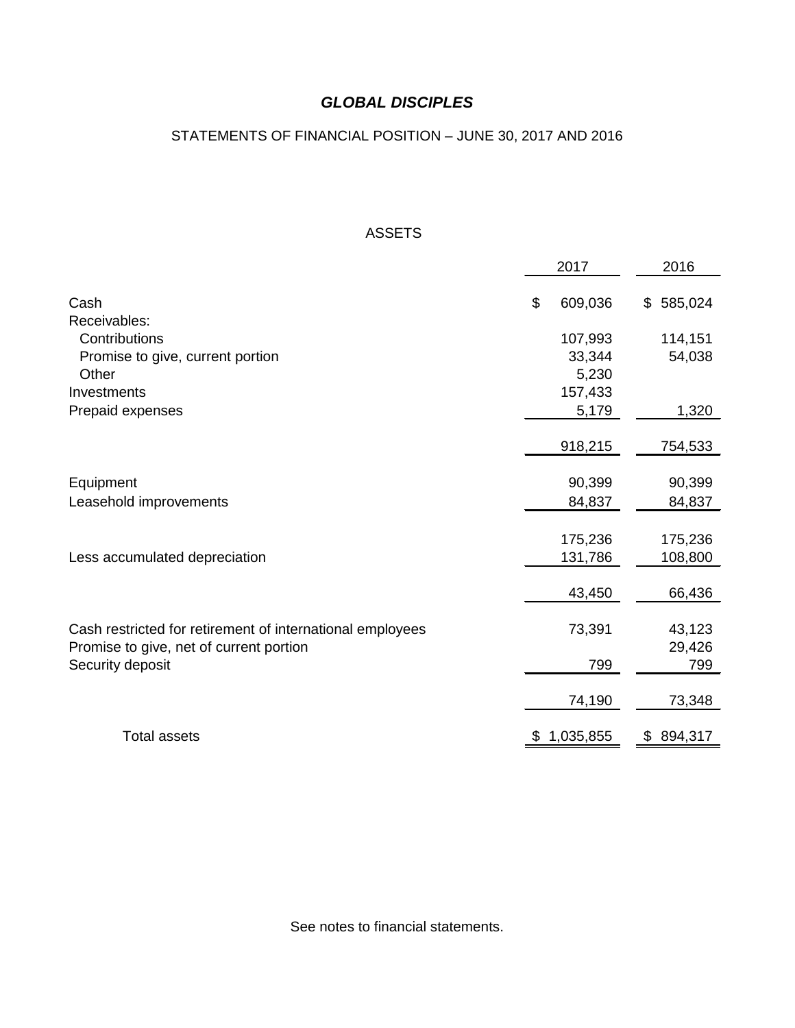## STATEMENTS OF FINANCIAL POSITION – JUNE 30, 2017 AND 2016

## ASSETS

|                                                           | 2017 |           | 2016          |  |
|-----------------------------------------------------------|------|-----------|---------------|--|
| Cash                                                      | \$   | 609,036   | \$585,024     |  |
| Receivables:                                              |      |           |               |  |
| Contributions                                             |      | 107,993   | 114,151       |  |
| Promise to give, current portion                          |      | 33,344    | 54,038        |  |
| Other                                                     |      | 5,230     |               |  |
| Investments                                               |      | 157,433   |               |  |
| Prepaid expenses                                          |      | 5,179     | 1,320         |  |
|                                                           |      |           |               |  |
|                                                           |      | 918,215   | 754,533       |  |
|                                                           |      |           |               |  |
| Equipment                                                 |      | 90,399    | 90,399        |  |
| Leasehold improvements                                    |      | 84,837    | 84,837        |  |
|                                                           |      |           |               |  |
|                                                           |      | 175,236   | 175,236       |  |
| Less accumulated depreciation                             |      | 131,786   | 108,800       |  |
|                                                           |      |           |               |  |
|                                                           |      | 43,450    | 66,436        |  |
|                                                           |      |           |               |  |
| Cash restricted for retirement of international employees |      | 73,391    | 43,123        |  |
| Promise to give, net of current portion                   |      |           | 29,426        |  |
| Security deposit                                          |      | 799       | 799           |  |
|                                                           |      | 74,190    | 73,348        |  |
|                                                           |      |           |               |  |
| <b>Total assets</b>                                       | \$   | 1,035,855 | \$<br>894,317 |  |

See notes to financial statements.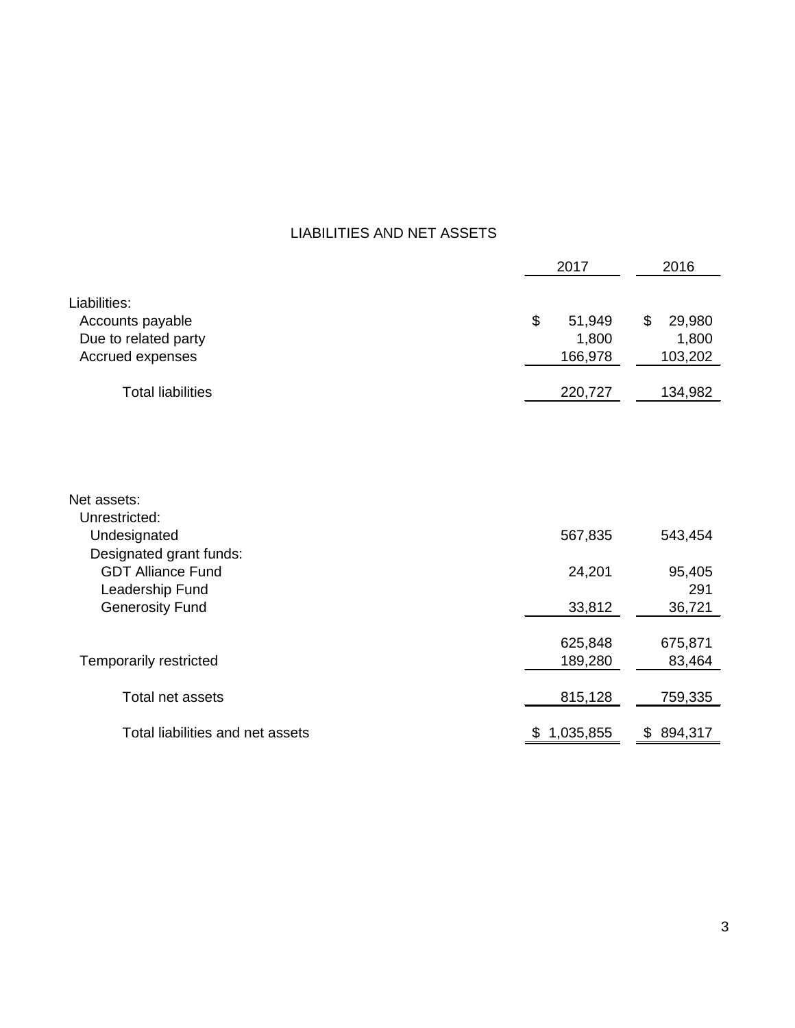## LIABILITIES AND NET ASSETS

|                                         | 2017 |           | 2016          |  |
|-----------------------------------------|------|-----------|---------------|--|
| Liabilities:                            |      |           |               |  |
| Accounts payable                        | \$   | 51,949    | \$<br>29,980  |  |
| Due to related party                    |      | 1,800     | 1,800         |  |
| Accrued expenses                        |      | 166,978   | 103,202       |  |
| <b>Total liabilities</b>                |      | 220,727   | 134,982       |  |
|                                         |      |           |               |  |
| Net assets:<br>Unrestricted:            |      |           |               |  |
| Undesignated<br>Designated grant funds: |      | 567,835   | 543,454       |  |
| <b>GDT Alliance Fund</b>                |      | 24,201    | 95,405        |  |
| Leadership Fund                         |      |           | 291           |  |
| <b>Generosity Fund</b>                  |      | 33,812    | 36,721        |  |
|                                         |      |           |               |  |
|                                         |      | 625,848   | 675,871       |  |
| <b>Temporarily restricted</b>           |      | 189,280   | 83,464        |  |
| Total net assets                        |      | 815,128   | 759,335       |  |
| Total liabilities and net assets        |      | 1,035,855 | \$<br>894,317 |  |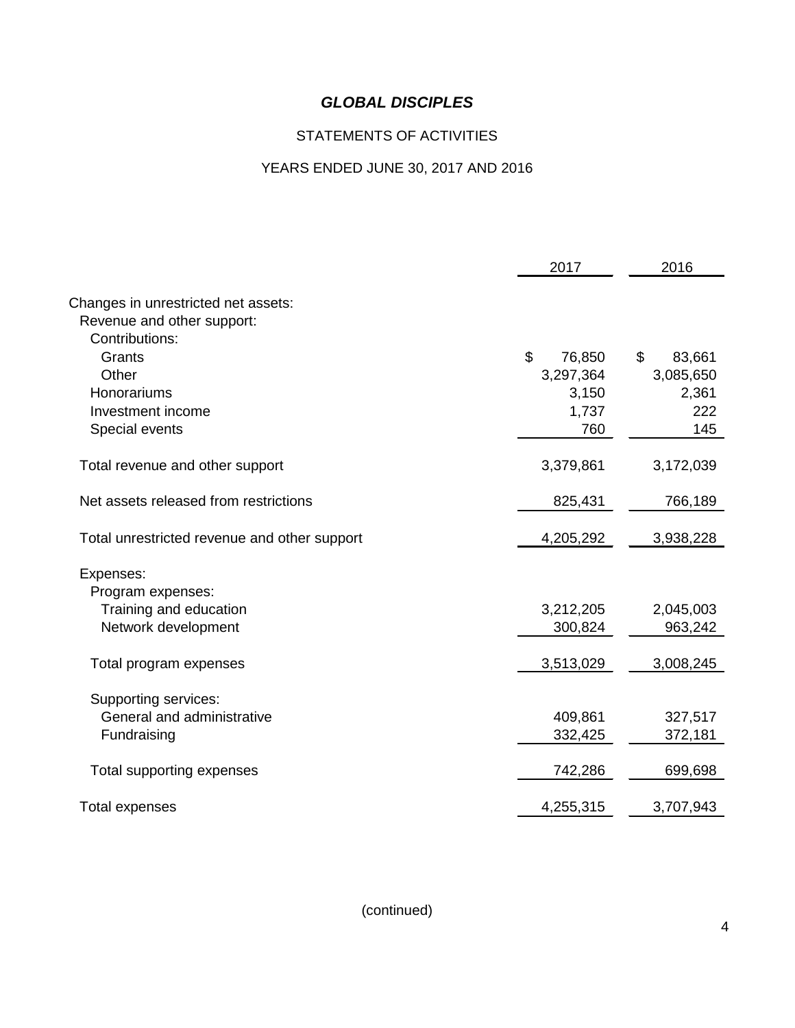## STATEMENTS OF ACTIVITIES

# YEARS ENDED JUNE 30, 2017 AND 2016

|                                              | 2017         | 2016         |
|----------------------------------------------|--------------|--------------|
| Changes in unrestricted net assets:          |              |              |
| Revenue and other support:                   |              |              |
| Contributions:                               |              |              |
| Grants                                       | \$<br>76,850 | \$<br>83,661 |
| Other                                        | 3,297,364    | 3,085,650    |
| Honorariums                                  | 3,150        | 2,361        |
| Investment income                            | 1,737        | 222          |
| Special events                               | 760          | 145          |
|                                              |              |              |
| Total revenue and other support              | 3,379,861    | 3,172,039    |
|                                              |              |              |
| Net assets released from restrictions        | 825,431      | 766,189      |
| Total unrestricted revenue and other support | 4,205,292    | 3,938,228    |
|                                              |              |              |
| Expenses:                                    |              |              |
| Program expenses:                            |              |              |
| Training and education                       | 3,212,205    | 2,045,003    |
| Network development                          | 300,824      | 963,242      |
| Total program expenses                       | 3,513,029    | 3,008,245    |
|                                              |              |              |
| Supporting services:                         |              |              |
| General and administrative                   | 409,861      | 327,517      |
| Fundraising                                  | 332,425      | 372,181      |
|                                              |              |              |
| Total supporting expenses                    | 742,286      | 699,698      |
| <b>Total expenses</b>                        | 4,255,315    | 3,707,943    |
|                                              |              |              |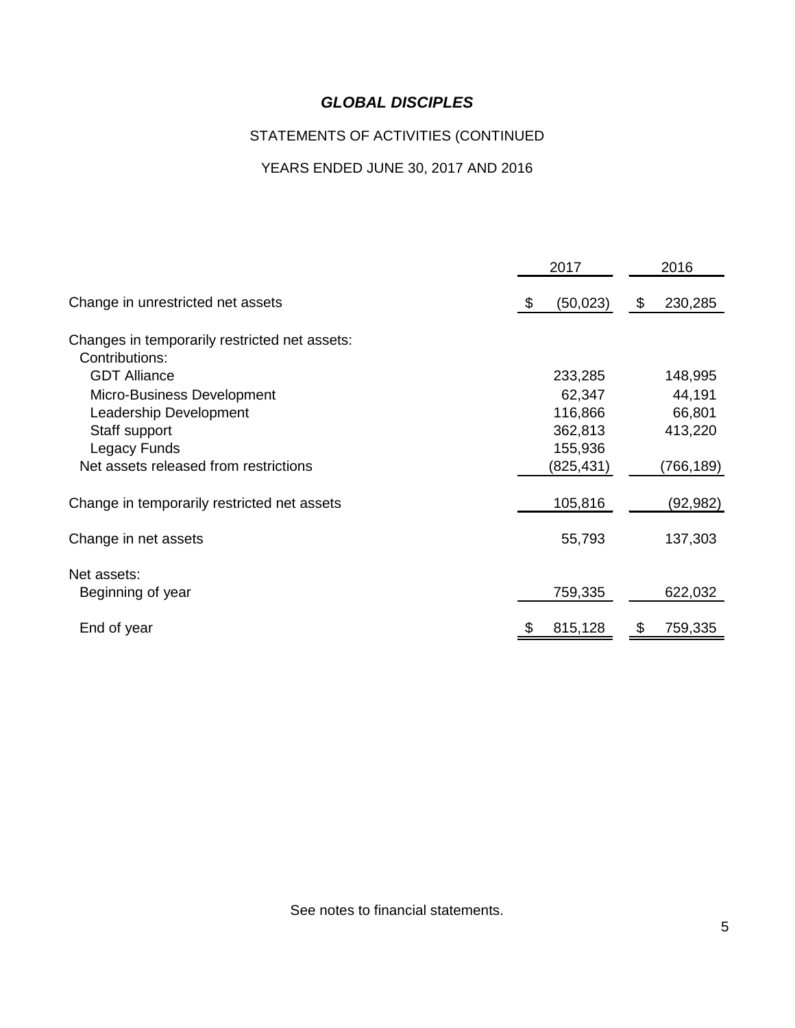## STATEMENTS OF ACTIVITIES (CONTINUED

## YEARS ENDED JUNE 30, 2017 AND 2016

|                                               | 2017            | 2016          |
|-----------------------------------------------|-----------------|---------------|
| Change in unrestricted net assets             | \$<br>(50, 023) | 230,285<br>\$ |
| Changes in temporarily restricted net assets: |                 |               |
| Contributions:                                |                 |               |
| <b>GDT Alliance</b>                           | 233,285         | 148,995       |
| Micro-Business Development                    | 62,347          | 44,191        |
| Leadership Development                        | 116,866         | 66,801        |
| Staff support                                 | 362,813         | 413,220       |
| Legacy Funds                                  | 155,936         |               |
| Net assets released from restrictions         | (825, 431)      | (766,189)     |
| Change in temporarily restricted net assets   | 105,816         | (92,982)      |
| Change in net assets                          | 55,793          | 137,303       |
| Net assets:                                   |                 |               |
| Beginning of year                             | 759,335         | 622,032       |
| End of year                                   | 815,128         | 759,335<br>Ъ  |

See notes to financial statements.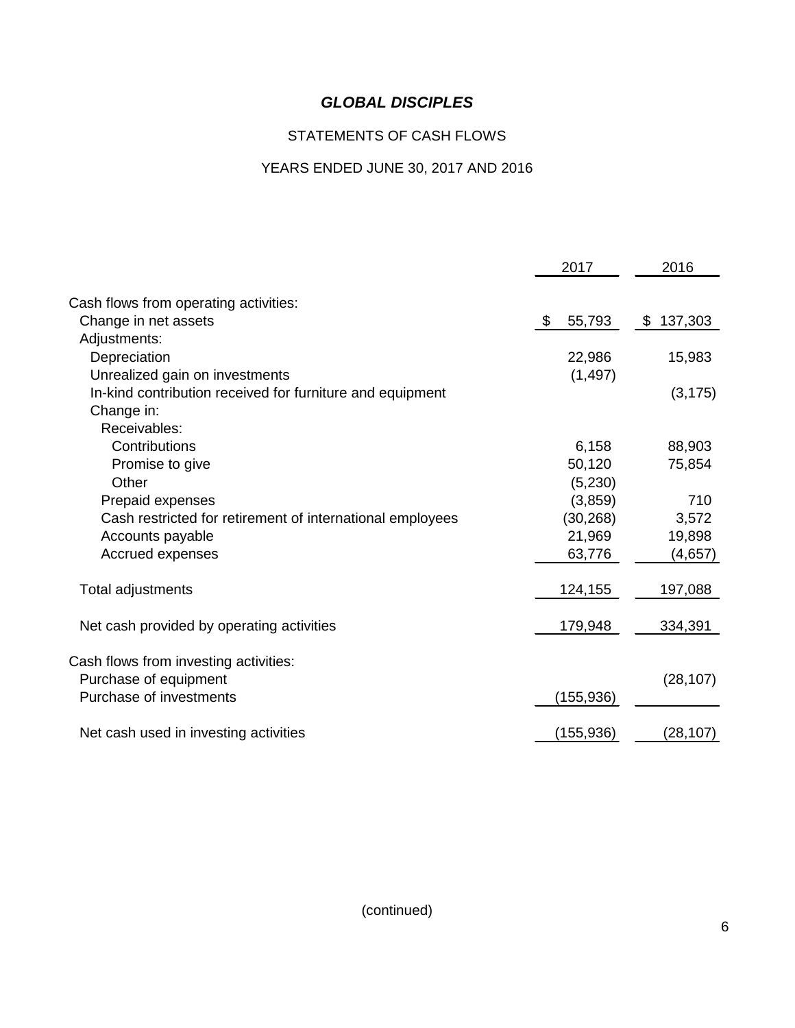## STATEMENTS OF CASH FLOWS

# YEARS ENDED JUNE 30, 2017 AND 2016

| 2017                                                                   | 2016      |
|------------------------------------------------------------------------|-----------|
| Cash flows from operating activities:                                  |           |
| Change in net assets<br>\$<br>55,793                                   | \$137,303 |
| Adjustments:                                                           |           |
| Depreciation<br>22,986                                                 | 15,983    |
| Unrealized gain on investments<br>(1, 497)                             |           |
| In-kind contribution received for furniture and equipment              | (3, 175)  |
| Change in:                                                             |           |
| Receivables:                                                           |           |
| Contributions<br>6,158                                                 | 88,903    |
| 50,120<br>Promise to give                                              | 75,854    |
| Other<br>(5,230)                                                       |           |
| (3,859)<br>Prepaid expenses                                            | 710       |
| (30, 268)<br>Cash restricted for retirement of international employees | 3,572     |
| 21,969<br>Accounts payable                                             | 19,898    |
| Accrued expenses<br>63,776                                             | (4,657)   |
|                                                                        |           |
| 124,155<br>Total adjustments                                           | 197,088   |
| Net cash provided by operating activities<br>179,948                   | 334,391   |
| Cash flows from investing activities:                                  |           |
| Purchase of equipment                                                  | (28, 107) |
| Purchase of investments<br>(155,936)                                   |           |
|                                                                        |           |
| (155, 936)<br>Net cash used in investing activities                    | (28, 107) |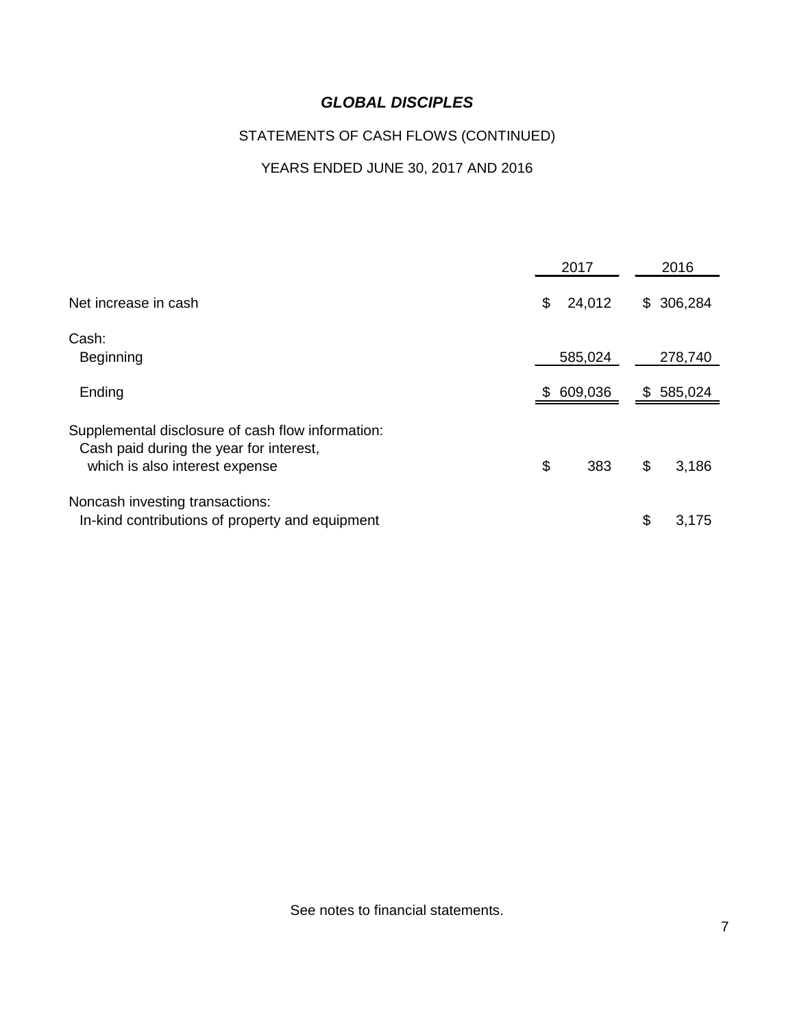## STATEMENTS OF CASH FLOWS (CONTINUED)

## YEARS ENDED JUNE 30, 2017 AND 2016

|                                                                                                                                |     | 2017    | 2016          |
|--------------------------------------------------------------------------------------------------------------------------------|-----|---------|---------------|
| Net increase in cash                                                                                                           | \$  | 24,012  | \$<br>306,284 |
| Cash:<br><b>Beginning</b>                                                                                                      |     | 585,024 | 278,740       |
| Ending                                                                                                                         | SS. | 609,036 | \$<br>585,024 |
| Supplemental disclosure of cash flow information:<br>Cash paid during the year for interest,<br>which is also interest expense | \$  | 383     | \$<br>3,186   |
| Noncash investing transactions:<br>In-kind contributions of property and equipment                                             |     |         | \$<br>3,175   |

See notes to financial statements.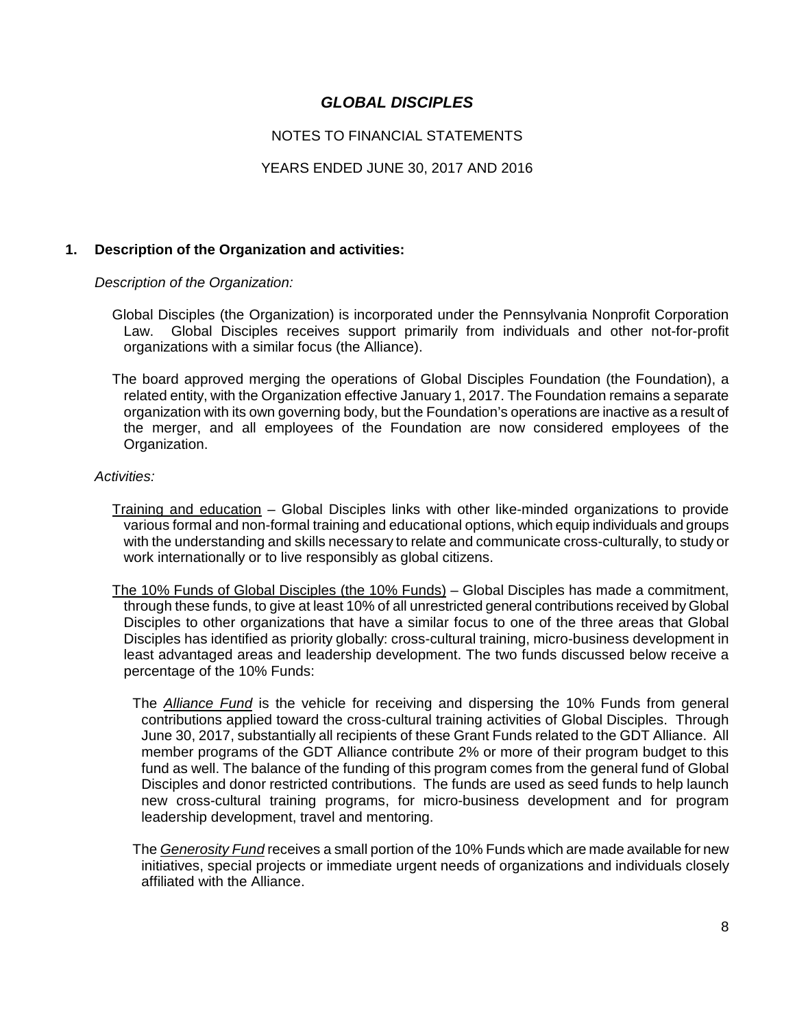### NOTES TO FINANCIAL STATEMENTS

### YEARS ENDED JUNE 30, 2017 AND 2016

#### **1. Description of the Organization and activities:**

*Description of the Organization:*

- Global Disciples (the Organization) is incorporated under the Pennsylvania Nonprofit Corporation Law. Global Disciples receives support primarily from individuals and other not-for-profit organizations with a similar focus (the Alliance).
- The board approved merging the operations of Global Disciples Foundation (the Foundation), a related entity, with the Organization effective January 1, 2017. The Foundation remains a separate organization with its own governing body, but the Foundation's operations are inactive as a result of the merger, and all employees of the Foundation are now considered employees of the Organization.

#### *Activities:*

- Training and education Global Disciples links with other like-minded organizations to provide various formal and non-formal training and educational options, which equip individuals and groups with the understanding and skills necessary to relate and communicate cross-culturally, to study or work internationally or to live responsibly as global citizens.
- The 10% Funds of Global Disciples (the 10% Funds) Global Disciples has made a commitment, through these funds, to give at least 10% of all unrestricted general contributions received by Global Disciples to other organizations that have a similar focus to one of the three areas that Global Disciples has identified as priority globally: cross-cultural training, micro-business development in least advantaged areas and leadership development. The two funds discussed below receive a percentage of the 10% Funds:
	- The *Alliance Fund* is the vehicle for receiving and dispersing the 10% Funds from general contributions applied toward the cross-cultural training activities of Global Disciples. Through June 30, 2017, substantially all recipients of these Grant Funds related to the GDT Alliance. All member programs of the GDT Alliance contribute 2% or more of their program budget to this fund as well. The balance of the funding of this program comes from the general fund of Global Disciples and donor restricted contributions. The funds are used as seed funds to help launch new cross-cultural training programs, for micro-business development and for program leadership development, travel and mentoring.
	- The *Generosity Fund* receives a small portion of the 10% Funds which are made available for new initiatives, special projects or immediate urgent needs of organizations and individuals closely affiliated with the Alliance.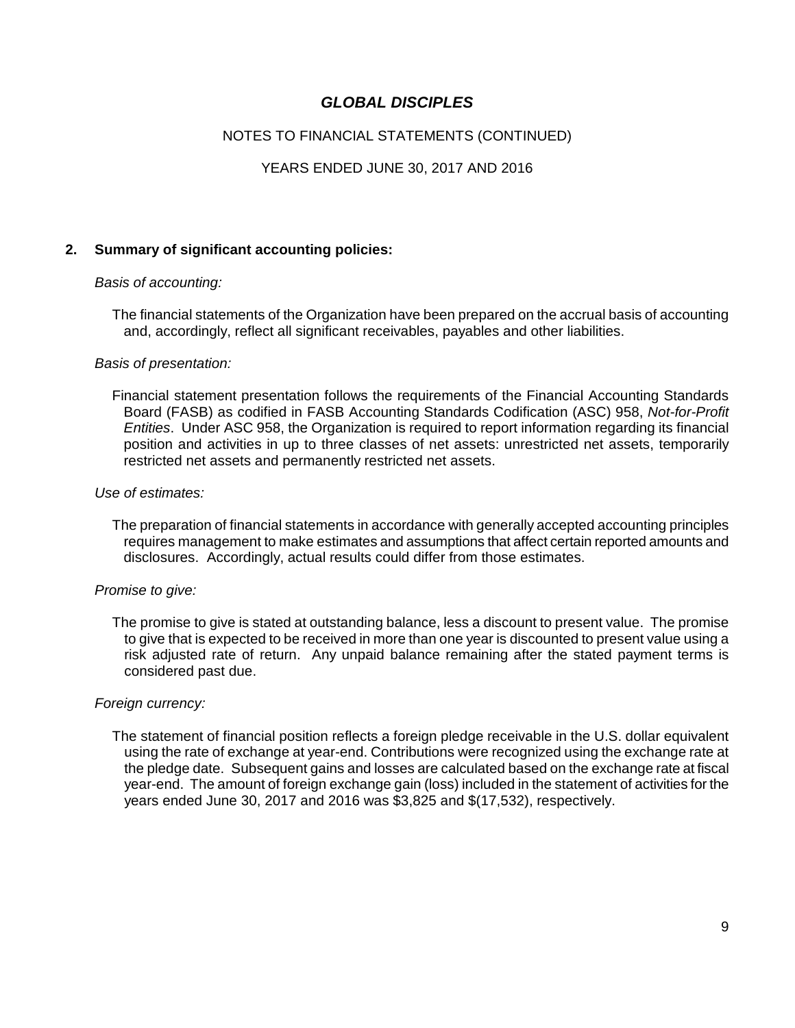### NOTES TO FINANCIAL STATEMENTS (CONTINUED)

### YEARS ENDED JUNE 30, 2017 AND 2016

### **2. Summary of significant accounting policies:**

#### *Basis of accounting:*

The financial statements of the Organization have been prepared on the accrual basis of accounting and, accordingly, reflect all significant receivables, payables and other liabilities.

#### *Basis of presentation:*

Financial statement presentation follows the requirements of the Financial Accounting Standards Board (FASB) as codified in FASB Accounting Standards Codification (ASC) 958, *Not-for-Profit Entities*. Under ASC 958, the Organization is required to report information regarding its financial position and activities in up to three classes of net assets: unrestricted net assets, temporarily restricted net assets and permanently restricted net assets.

#### *Use of estimates:*

The preparation of financial statements in accordance with generally accepted accounting principles requires management to make estimates and assumptions that affect certain reported amounts and disclosures. Accordingly, actual results could differ from those estimates.

#### *Promise to give:*

The promise to give is stated at outstanding balance, less a discount to present value. The promise to give that is expected to be received in more than one year is discounted to present value using a risk adjusted rate of return. Any unpaid balance remaining after the stated payment terms is considered past due.

#### *Foreign currency:*

The statement of financial position reflects a foreign pledge receivable in the U.S. dollar equivalent using the rate of exchange at year-end. Contributions were recognized using the exchange rate at the pledge date. Subsequent gains and losses are calculated based on the exchange rate at fiscal year-end. The amount of foreign exchange gain (loss) included in the statement of activities for the years ended June 30, 2017 and 2016 was \$3,825 and \$(17,532), respectively.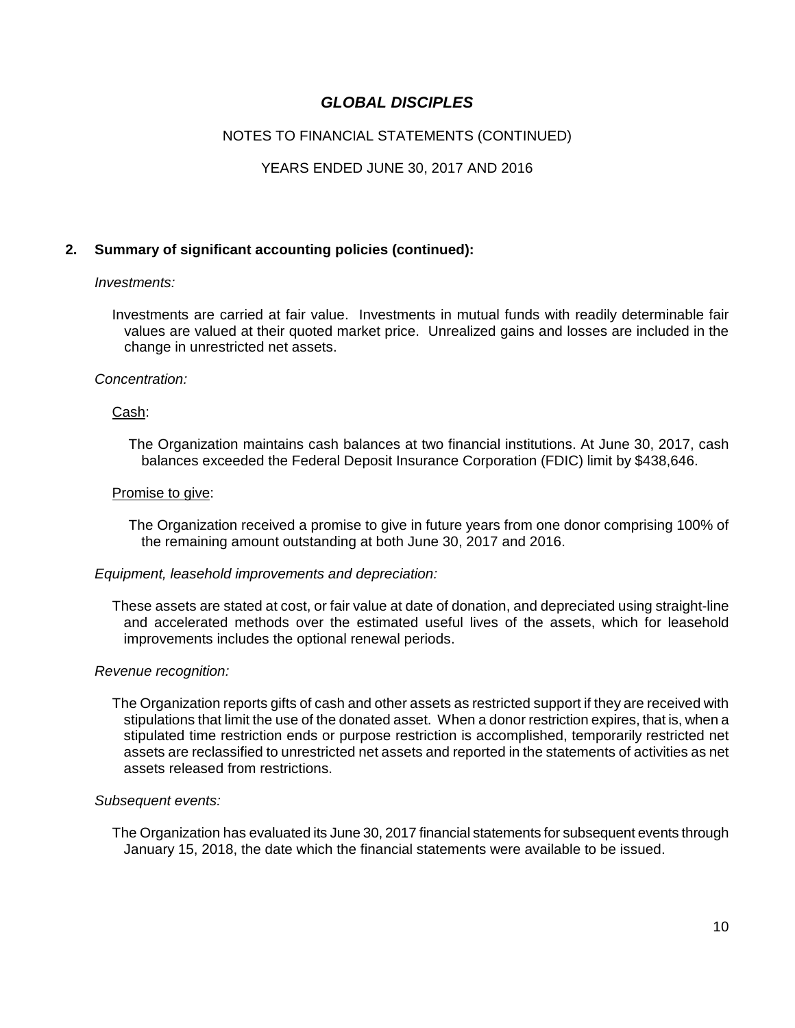## NOTES TO FINANCIAL STATEMENTS (CONTINUED)

### YEARS ENDED JUNE 30, 2017 AND 2016

### **2. Summary of significant accounting policies (continued):**

#### *Investments:*

Investments are carried at fair value. Investments in mutual funds with readily determinable fair values are valued at their quoted market price. Unrealized gains and losses are included in the change in unrestricted net assets.

#### *Concentration:*

#### Cash:

The Organization maintains cash balances at two financial institutions. At June 30, 2017, cash balances exceeded the Federal Deposit Insurance Corporation (FDIC) limit by \$438,646.

#### Promise to give:

The Organization received a promise to give in future years from one donor comprising 100% of the remaining amount outstanding at both June 30, 2017 and 2016.

#### *Equipment, leasehold improvements and depreciation:*

These assets are stated at cost, or fair value at date of donation, and depreciated using straight-line and accelerated methods over the estimated useful lives of the assets, which for leasehold improvements includes the optional renewal periods.

#### *Revenue recognition:*

The Organization reports gifts of cash and other assets as restricted support if they are received with stipulations that limit the use of the donated asset. When a donor restriction expires, that is, when a stipulated time restriction ends or purpose restriction is accomplished, temporarily restricted net assets are reclassified to unrestricted net assets and reported in the statements of activities as net assets released from restrictions.

#### *Subsequent events:*

The Organization has evaluated its June 30, 2017 financial statements for subsequent events through January 15, 2018, the date which the financial statements were available to be issued.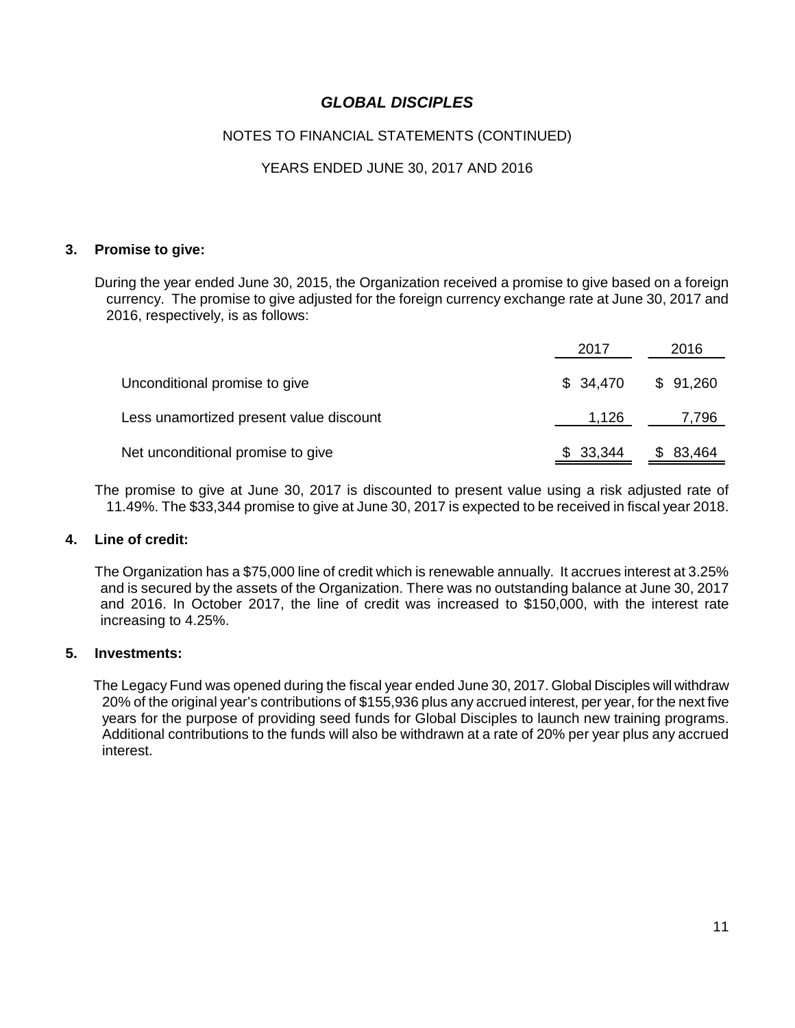## NOTES TO FINANCIAL STATEMENTS (CONTINUED)

## YEARS ENDED JUNE 30, 2017 AND 2016

#### **3. Promise to give:**

During the year ended June 30, 2015, the Organization received a promise to give based on a foreign currency. The promise to give adjusted for the foreign currency exchange rate at June 30, 2017 and 2016, respectively, is as follows:

|                                         | 2017                | 2016     |  |
|-----------------------------------------|---------------------|----------|--|
| Unconditional promise to give           | $$34,470$ $$91,260$ |          |  |
| Less unamortized present value discount | 1,126               | 7,796    |  |
| Net unconditional promise to give       | \$33,344            | \$83,464 |  |

The promise to give at June 30, 2017 is discounted to present value using a risk adjusted rate of 11.49%. The \$33,344 promise to give at June 30, 2017 is expected to be received in fiscal year 2018.

#### **4. Line of credit:**

The Organization has a \$75,000 line of credit which is renewable annually. It accrues interest at 3.25% and is secured by the assets of the Organization. There was no outstanding balance at June 30, 2017 and 2016. In October 2017, the line of credit was increased to \$150,000, with the interest rate increasing to 4.25%.

#### **5. Investments:**

The Legacy Fund was opened during the fiscal year ended June 30, 2017. Global Disciples will withdraw 20% of the original year's contributions of \$155,936 plus any accrued interest, per year, for the next five years for the purpose of providing seed funds for Global Disciples to launch new training programs. Additional contributions to the funds will also be withdrawn at a rate of 20% per year plus any accrued interest.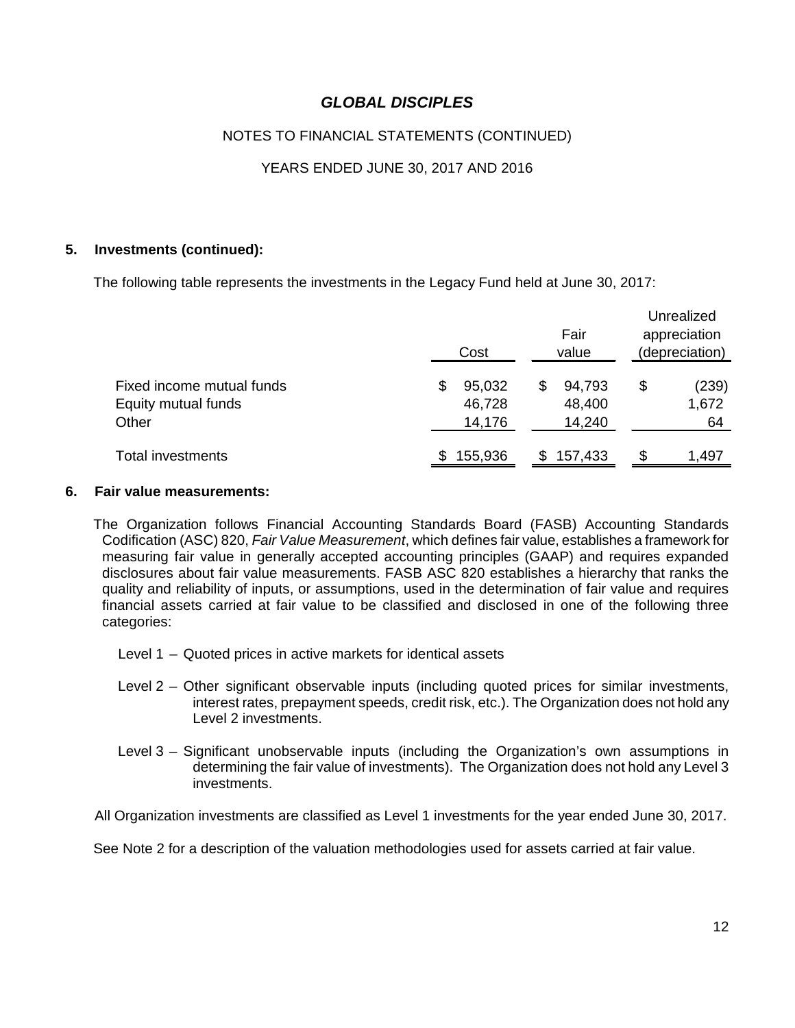## NOTES TO FINANCIAL STATEMENTS (CONTINUED)

## YEARS ENDED JUNE 30, 2017 AND 2016

#### **5. Investments (continued):**

The following table represents the investments in the Legacy Fund held at June 30, 2017:

|                                                           | Cost                             | Fair<br>value                    | Unrealized<br>appreciation<br>(depreciation) |
|-----------------------------------------------------------|----------------------------------|----------------------------------|----------------------------------------------|
| Fixed income mutual funds<br>Equity mutual funds<br>Other | 95,032<br>\$<br>46,728<br>14,176 | 94,793<br>\$<br>48,400<br>14,240 | \$<br>(239)<br>1,672<br>64                   |
| <b>Total investments</b>                                  | 155,936<br>S                     | 157,433<br>S.                    | \$<br>1,497                                  |

#### **6. Fair value measurements:**

The Organization follows Financial Accounting Standards Board (FASB) Accounting Standards Codification (ASC) 820, *Fair Value Measurement*, which defines fair value, establishes a framework for measuring fair value in generally accepted accounting principles (GAAP) and requires expanded disclosures about fair value measurements. FASB ASC 820 establishes a hierarchy that ranks the quality and reliability of inputs, or assumptions, used in the determination of fair value and requires financial assets carried at fair value to be classified and disclosed in one of the following three categories:

- Level 1 Quoted prices in active markets for identical assets
- Level 2 Other significant observable inputs (including quoted prices for similar investments, interest rates, prepayment speeds, credit risk, etc.). The Organization does not hold any Level 2 investments.
- Level 3 Significant unobservable inputs (including the Organization's own assumptions in determining the fair value of investments). The Organization does not hold any Level 3 investments.

All Organization investments are classified as Level 1 investments for the year ended June 30, 2017.

See Note 2 for a description of the valuation methodologies used for assets carried at fair value.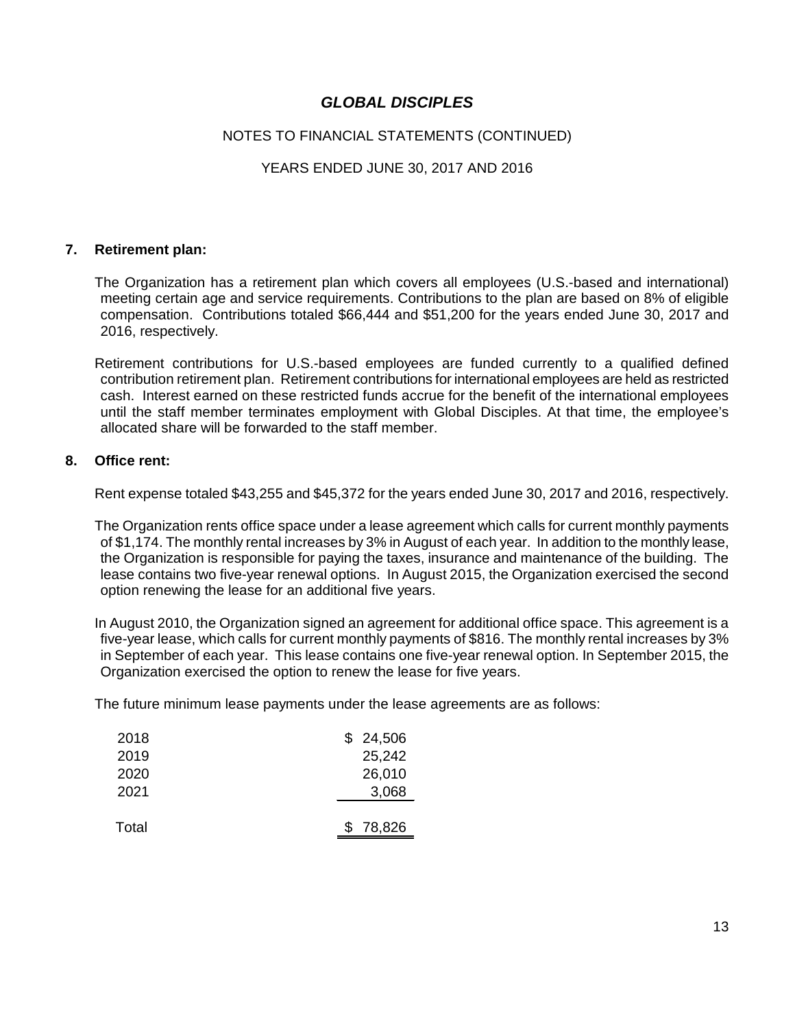### NOTES TO FINANCIAL STATEMENTS (CONTINUED)

### YEARS ENDED JUNE 30, 2017 AND 2016

#### **7. Retirement plan:**

The Organization has a retirement plan which covers all employees (U.S.-based and international) meeting certain age and service requirements. Contributions to the plan are based on 8% of eligible compensation. Contributions totaled \$66,444 and \$51,200 for the years ended June 30, 2017 and 2016, respectively.

Retirement contributions for U.S.-based employees are funded currently to a qualified defined contribution retirement plan. Retirement contributions for international employees are held as restricted cash. Interest earned on these restricted funds accrue for the benefit of the international employees until the staff member terminates employment with Global Disciples. At that time, the employee's allocated share will be forwarded to the staff member.

#### **8. Office rent:**

Rent expense totaled \$43,255 and \$45,372 for the years ended June 30, 2017 and 2016, respectively.

The Organization rents office space under a lease agreement which calls for current monthly payments of \$1,174. The monthly rental increases by 3% in August of each year. In addition to the monthly lease, the Organization is responsible for paying the taxes, insurance and maintenance of the building. The lease contains two five-year renewal options. In August 2015, the Organization exercised the second option renewing the lease for an additional five years.

In August 2010, the Organization signed an agreement for additional office space. This agreement is a five-year lease, which calls for current monthly payments of \$816. The monthly rental increases by 3% in September of each year. This lease contains one five-year renewal option. In September 2015, the Organization exercised the option to renew the lease for five years.

The future minimum lease payments under the lease agreements are as follows:

| 2018  | \$24,506 |
|-------|----------|
| 2019  | 25,242   |
| 2020  | 26,010   |
| 2021  | 3,068    |
|       |          |
| Total | 78,826   |
|       |          |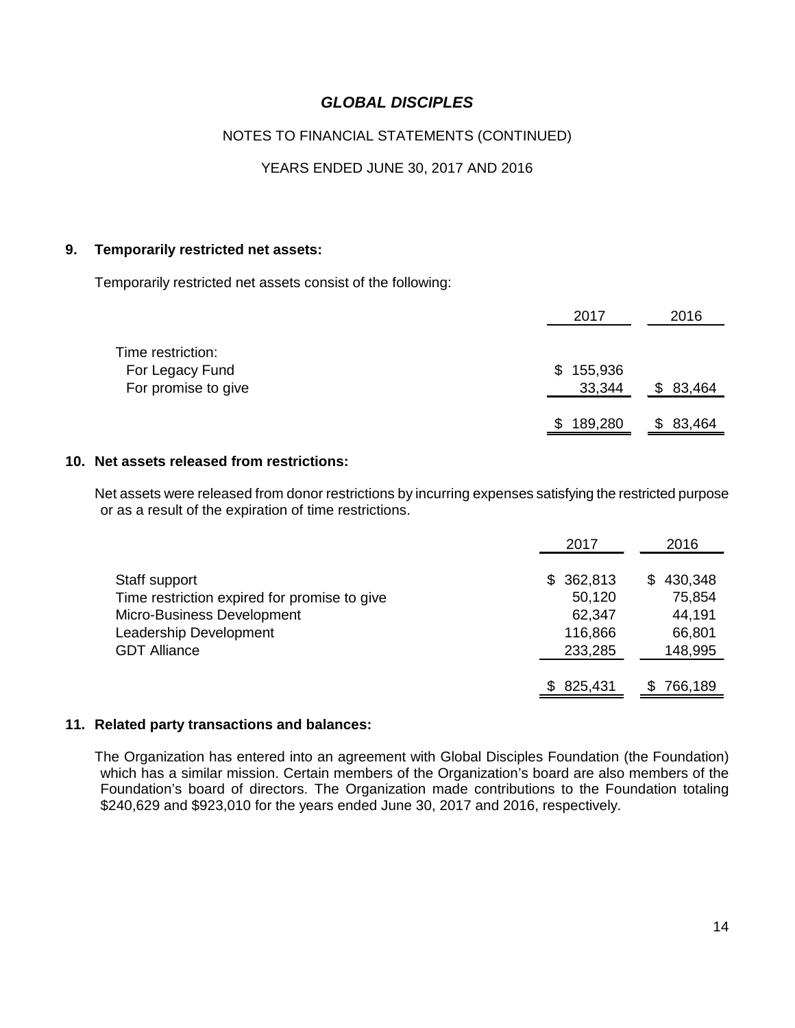## NOTES TO FINANCIAL STATEMENTS (CONTINUED)

## YEARS ENDED JUNE 30, 2017 AND 2016

### **9. Temporarily restricted net assets:**

Temporarily restricted net assets consist of the following:

|                                                             | 2017                    | 2016   |
|-------------------------------------------------------------|-------------------------|--------|
| Time restriction:<br>For Legacy Fund<br>For promise to give | 155,936<br>\$<br>33,344 | 83,464 |
|                                                             | 189,280<br>\$           | 83,464 |

#### **10. Net assets released from restrictions:**

Net assets were released from donor restrictions by incurring expenses satisfying the restricted purpose or as a result of the expiration of time restrictions.

|                                              | 2017      | 2016          |
|----------------------------------------------|-----------|---------------|
|                                              |           |               |
| Staff support                                | \$362,813 | 430,348<br>S. |
| Time restriction expired for promise to give | 50,120    | 75,854        |
| Micro-Business Development                   | 62,347    | 44,191        |
| Leadership Development                       | 116,866   | 66,801        |
| <b>GDT Alliance</b>                          | 233,285   | 148,995       |
|                                              |           |               |
|                                              | \$825,431 | 766,189       |

#### **11. Related party transactions and balances:**

The Organization has entered into an agreement with Global Disciples Foundation (the Foundation) which has a similar mission. Certain members of the Organization's board are also members of the Foundation's board of directors. The Organization made contributions to the Foundation totaling \$240,629 and \$923,010 for the years ended June 30, 2017 and 2016, respectively.